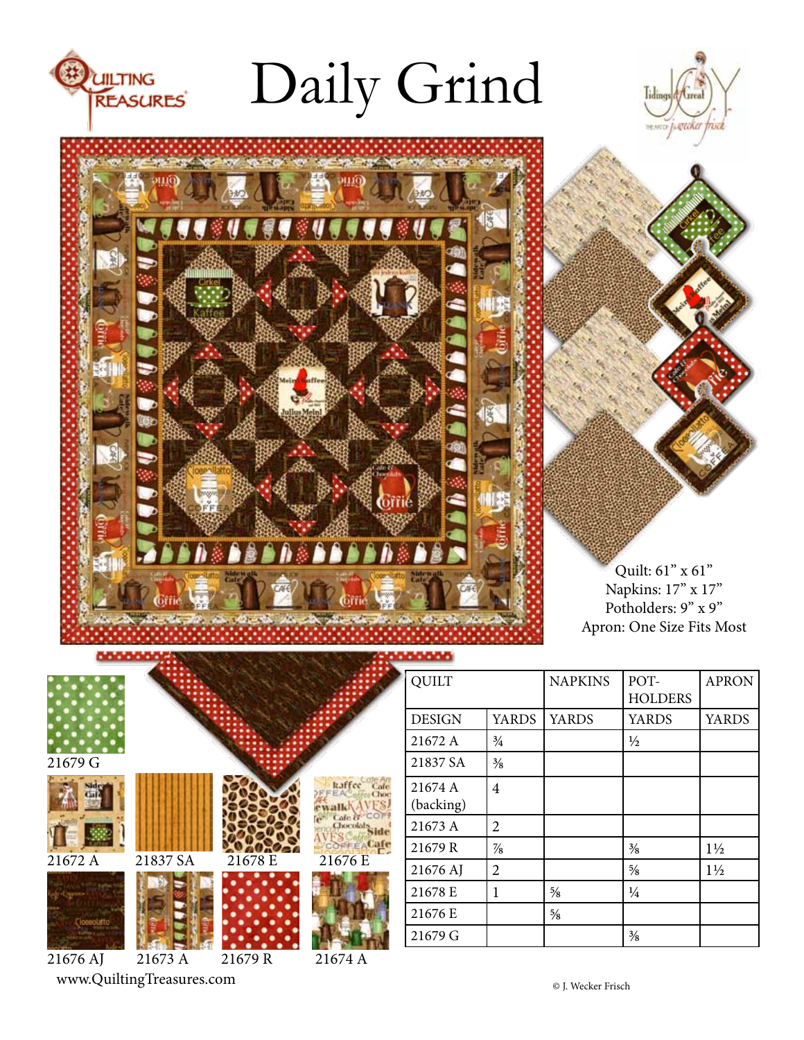

# Daily Grind





Quilt: 61" x 61" Napkins: 17" x 17" Potholders: 9" x 9" Apron: One Size Fits Most

|          |          |         |                  | <b>QUILT</b>         |                |
|----------|----------|---------|------------------|----------------------|----------------|
|          |          |         |                  | <b>DESIGN</b>        | YAI            |
|          |          |         |                  | 21672 A              | $\frac{3}{4}$  |
| 21679 G  |          |         |                  | 21837 SA             | $\frac{3}{8}$  |
|          |          |         |                  | 21674 A<br>(backing) | $\overline{4}$ |
|          |          |         | Cafe &<br>Chocol | 21673 A              | $\overline{2}$ |
|          |          |         | OFFEACale        | 21679R               | $\frac{7}{8}$  |
| 21672 A  | 21837 SA | 21678 E | 21676 E          | 21676 AJ             | $\overline{2}$ |
|          |          |         |                  | 21678 E              | 1              |
|          |          |         |                  | 21676 E              |                |
|          |          |         |                  | 21679 G              |                |
| 21676 AJ | 21673 A  | 21679R  | 21674 A          |                      |                |

www.QuiltingTreasures.com

| <b>QUILT</b>  |               | <b>NAPKINS</b> | POT-           | <b>APRON</b>   |
|---------------|---------------|----------------|----------------|----------------|
|               |               |                | <b>HOLDERS</b> |                |
| <b>DESIGN</b> | <b>YARDS</b>  | <b>YARDS</b>   | <b>YARDS</b>   | <b>YARDS</b>   |
| 21672 A       | $\frac{3}{4}$ |                | $\frac{1}{2}$  |                |
| 21837 SA      | $\frac{3}{8}$ |                |                |                |
| 21674 A       | 4             |                |                |                |
| (backing)     |               |                |                |                |
| 21673 A       | 2             |                |                |                |
| 21679 R       | $\frac{7}{8}$ |                | $\frac{3}{8}$  | $1\frac{1}{2}$ |
| 21676 AJ      | 2             |                | $\frac{5}{8}$  | $1\frac{1}{2}$ |
| 21678 E       | 1             | $\frac{5}{8}$  | $\frac{1}{4}$  |                |
| 21676 E       |               | $\frac{5}{8}$  |                |                |
| 21679 G       |               |                | $\frac{3}{8}$  |                |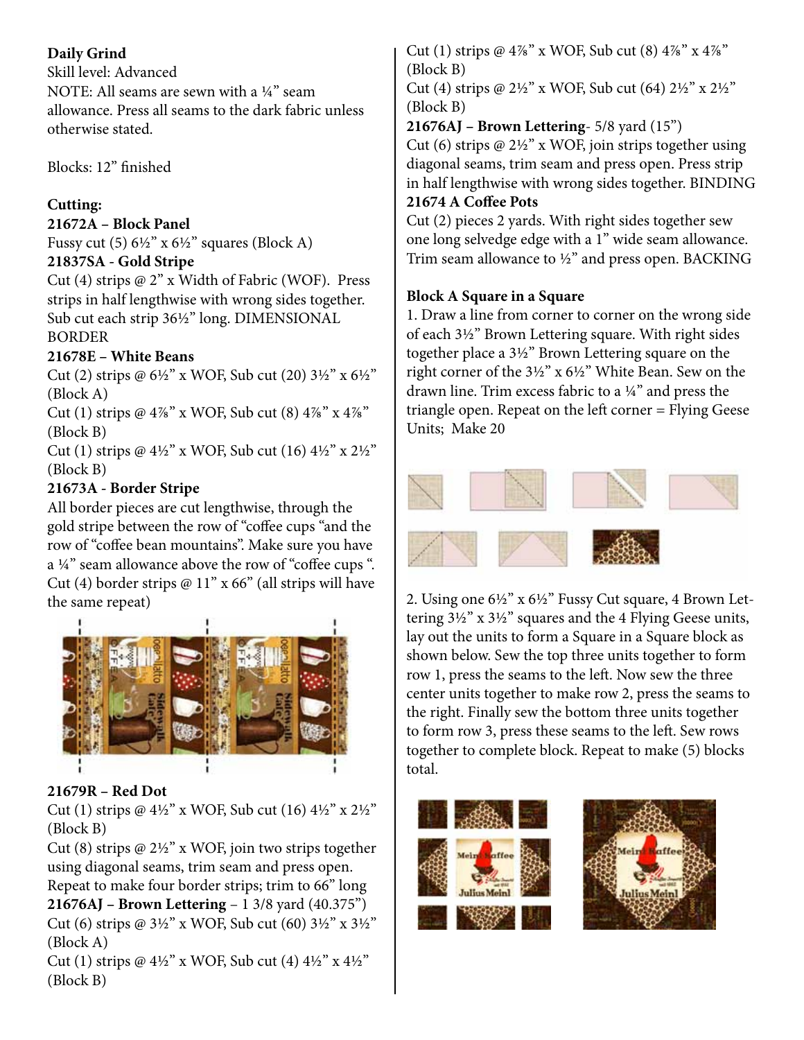## **Daily Grind**

Skill level: Advanced NOTE: All seams are sewn with a ¼" seam allowance. Press all seams to the dark fabric unless otherwise stated.

Blocks: 12" finished

# **Cutting:**

## **21672A – Block Panel**

Fussy cut  $(5)$  6½" x 6½" squares (Block A) **21837SA - Gold Stripe** 

Cut (4) strips @ 2" x Width of Fabric (WOF). Press strips in half lengthwise with wrong sides together. Sub cut each strip 36½" long. DIMENSIONAL BORDER

## **21678E – White Beans**

Cut (2) strips @ 6½" x WOF, Sub cut (20) 3½" x 6½" (Block A)

Cut (1) strips  $@4\%" x WOF$ , Sub cut (8)  $4\%" x 4\%"$ (Block B)

Cut (1) strips @  $4\frac{1}{2}$ " x WOF, Sub cut (16)  $4\frac{1}{2}$ " x  $2\frac{1}{2}$ " (Block B)

# **21673A - Border Stripe**

All border pieces are cut lengthwise, through the gold stripe between the row of "coffee cups "and the row of "coffee bean mountains". Make sure you have a ¼" seam allowance above the row of "coffee cups ". Cut (4) border strips  $@11"x 66"$  (all strips will have the same repeat)



## **21679R – Red Dot**

Cut (1) strips  $\omega$  4½" x WOF, Sub cut (16) 4½" x 2½" (Block B)

Cut (8) strips  $\omega$  2½" x WOF, join two strips together using diagonal seams, trim seam and press open. Repeat to make four border strips; trim to 66" long

**21676AJ – Brown Lettering** – 1 3/8 yard (40.375") Cut (6) strips @ 3½" x WOF, Sub cut (60) 3½" x 3½" (Block A)

Cut (1) strips @  $4\frac{1}{2}$ " x WOF, Sub cut (4)  $4\frac{1}{2}$ " x  $4\frac{1}{2}$ " (Block B)

Cut (1) strips @  $4\frac{7}{8}$ " x WOF, Sub cut (8)  $4\frac{7}{8}$ " x  $4\frac{7}{8}$ " (Block B)

Cut (4) strips @  $2\frac{1}{2}$ " x WOF, Sub cut (64)  $2\frac{1}{2}$ " x  $2\frac{1}{2}$ " (Block B)

**21676AJ – Brown Lettering**- 5/8 yard (15")

Cut (6) strips  $@2\frac{1}{2}"$  x WOF, join strips together using diagonal seams, trim seam and press open. Press strip in half lengthwise with wrong sides together. BINDING **21674 A Coffee Pots**

Cut (2) pieces 2 yards. With right sides together sew one long selvedge edge with a 1" wide seam allowance. Trim seam allowance to ½" and press open. BACKING

# **Block A Square in a Square**

1. Draw a line from corner to corner on the wrong side of each 3½" Brown Lettering square. With right sides together place a 3½" Brown Lettering square on the right corner of the 3½" x 6½" White Bean. Sew on the drawn line. Trim excess fabric to a ¼" and press the triangle open. Repeat on the left corner = Flying Geese Units; Make 20



2. Using one 6½" x 6½" Fussy Cut square, 4 Brown Lettering 3½" x 3½" squares and the 4 Flying Geese units, lay out the units to form a Square in a Square block as shown below. Sew the top three units together to form row 1, press the seams to the left. Now sew the three center units together to make row 2, press the seams to the right. Finally sew the bottom three units together to form row 3, press these seams to the left. Sew rows together to complete block. Repeat to make (5) blocks total.

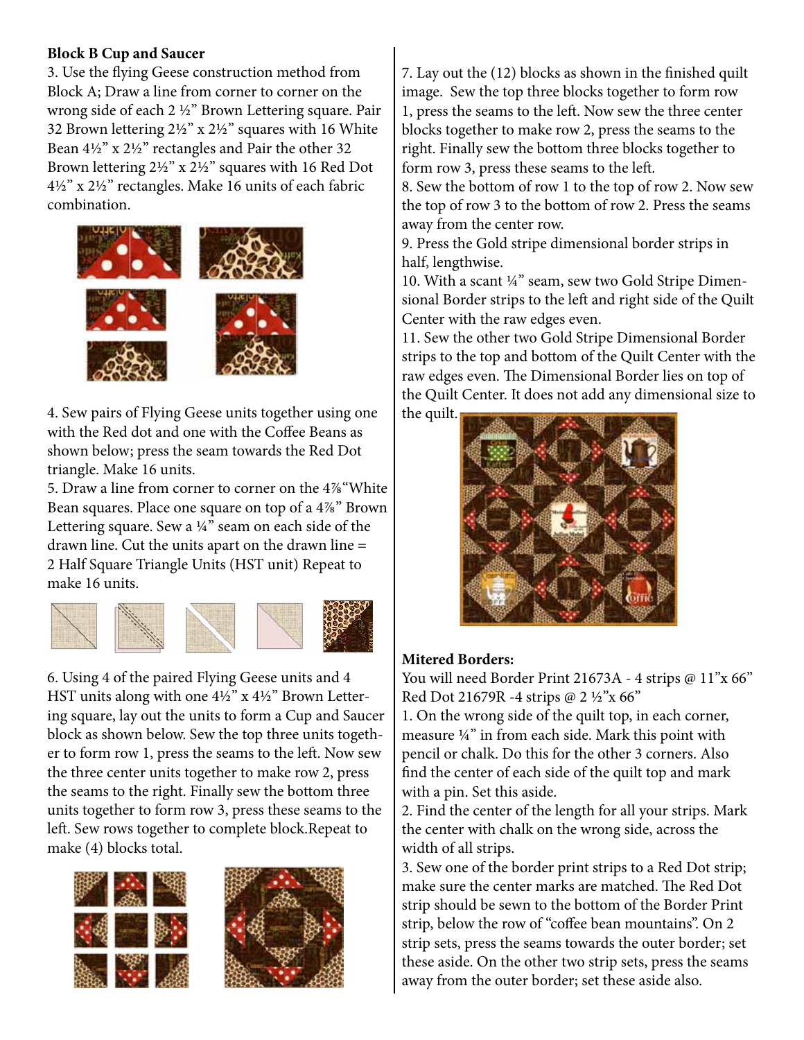#### **Block B Cup and Saucer**

3. Use the flying Geese construction method from Block A; Draw a line from corner to corner on the wrong side of each 2 ½" Brown Lettering square. Pair 32 Brown lettering 2½" x 2½" squares with 16 White Bean 4½" x 2½" rectangles and Pair the other 32 Brown lettering 2½" x 2½" squares with 16 Red Dot 4½" x 2½" rectangles. Make 16 units of each fabric combination.



4. Sew pairs of Flying Geese units together using one with the Red dot and one with the Coffee Beans as shown below; press the seam towards the Red Dot triangle. Make 16 units.

5. Draw a line from corner to corner on the 4⅞"White Bean squares. Place one square on top of a 4⅞" Brown Lettering square. Sew a ¼" seam on each side of the drawn line. Cut the units apart on the drawn line = 2 Half Square Triangle Units (HST unit) Repeat to make 16 units.



6. Using 4 of the paired Flying Geese units and 4 HST units along with one  $4\frac{1}{2}$ " x  $4\frac{1}{2}$ " Brown Lettering square, lay out the units to form a Cup and Saucer block as shown below. Sew the top three units together to form row 1, press the seams to the left. Now sew the three center units together to make row 2, press the seams to the right. Finally sew the bottom three units together to form row 3, press these seams to the left. Sew rows together to complete block.Repeat to make (4) blocks total.





7. Lay out the (12) blocks as shown in the finished quilt image. Sew the top three blocks together to form row 1, press the seams to the left. Now sew the three center blocks together to make row 2, press the seams to the right. Finally sew the bottom three blocks together to form row 3, press these seams to the left.

8. Sew the bottom of row 1 to the top of row 2. Now sew the top of row 3 to the bottom of row 2. Press the seams away from the center row.

9. Press the Gold stripe dimensional border strips in half, lengthwise.

10. With a scant ¼" seam, sew two Gold Stripe Dimensional Border strips to the left and right side of the Quilt Center with the raw edges even.

11. Sew the other two Gold Stripe Dimensional Border strips to the top and bottom of the Quilt Center with the raw edges even. The Dimensional Border lies on top of the Quilt Center. It does not add any dimensional size to the quilt.



#### **Mitered Borders:**

You will need Border Print 21673A - 4 strips @ 11"x 66" Red Dot 21679R -4 strips @ 2 ½"x 66"

1. On the wrong side of the quilt top, in each corner, measure ¼" in from each side. Mark this point with pencil or chalk. Do this for the other 3 corners. Also find the center of each side of the quilt top and mark with a pin. Set this aside.

2. Find the center of the length for all your strips. Mark the center with chalk on the wrong side, across the width of all strips.

3. Sew one of the border print strips to a Red Dot strip; make sure the center marks are matched. The Red Dot strip should be sewn to the bottom of the Border Print strip, below the row of "coffee bean mountains". On 2 strip sets, press the seams towards the outer border; set these aside. On the other two strip sets, press the seams away from the outer border; set these aside also.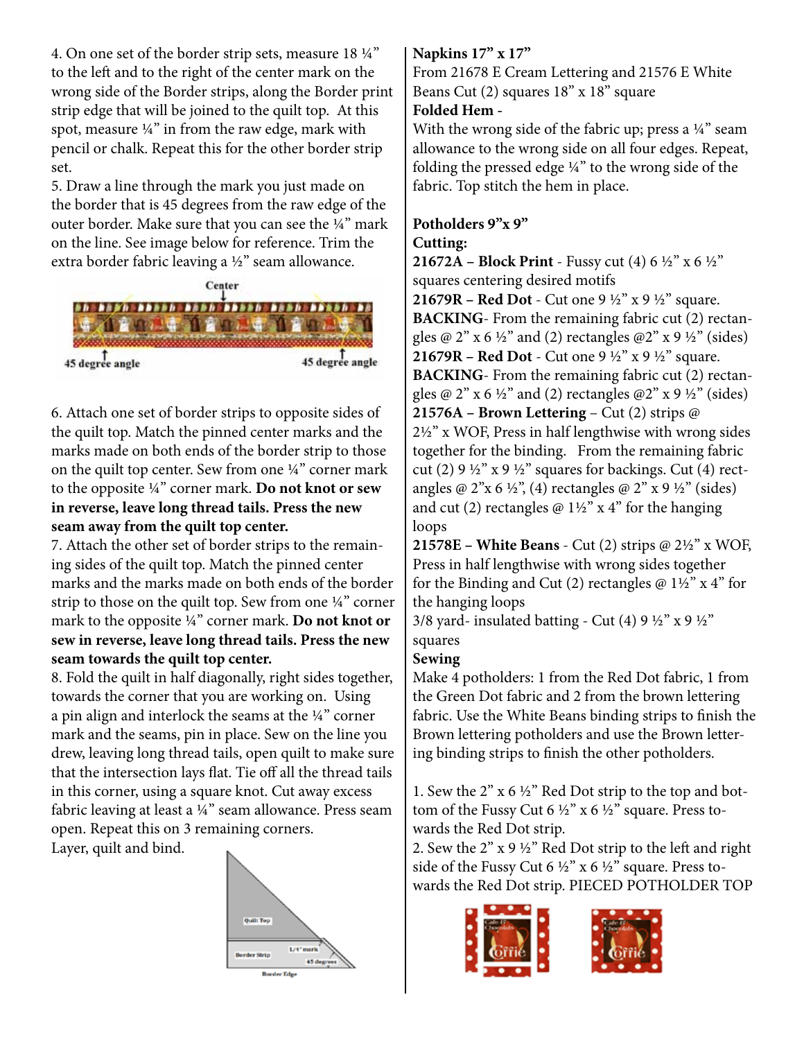4. On one set of the border strip sets, measure 18 ¼" to the left and to the right of the center mark on the wrong side of the Border strips, along the Border print strip edge that will be joined to the quilt top. At this spot, measure ¼" in from the raw edge, mark with pencil or chalk. Repeat this for the other border strip set.

5. Draw a line through the mark you just made on the border that is 45 degrees from the raw edge of the outer border. Make sure that you can see the ¼" mark on the line. See image below for reference. Trim the extra border fabric leaving a ½" seam allowance.



6. Attach one set of border strips to opposite sides of the quilt top. Match the pinned center marks and the marks made on both ends of the border strip to those on the quilt top center. Sew from one ¼" corner mark to the opposite ¼" corner mark. **Do not knot or sew in reverse, leave long thread tails. Press the new seam away from the quilt top center.** 

7. Attach the other set of border strips to the remaining sides of the quilt top. Match the pinned center marks and the marks made on both ends of the border strip to those on the quilt top. Sew from one ¼" corner mark to the opposite ¼" corner mark. **Do not knot or sew in reverse, leave long thread tails. Press the new seam towards the quilt top center.** 

8. Fold the quilt in half diagonally, right sides together, towards the corner that you are working on. Using a pin align and interlock the seams at the ¼" corner mark and the seams, pin in place. Sew on the line you drew, leaving long thread tails, open quilt to make sure that the intersection lays flat. Tie off all the thread tails in this corner, using a square knot. Cut away excess fabric leaving at least a ¼" seam allowance. Press seam open. Repeat this on 3 remaining corners. Layer, quilt and bind.

**Quilt Top Border Edge** 

## **Napkins 17" x 17"**

From 21678 E Cream Lettering and 21576 E White Beans Cut (2) squares 18" x 18" square

## **Folded Hem -**

With the wrong side of the fabric up; press a ¼" seam allowance to the wrong side on all four edges. Repeat, folding the pressed edge ¼" to the wrong side of the fabric. Top stitch the hem in place.

#### **Potholders 9"x 9" Cutting:**

**21672A – Block Print** - Fussy cut (4) 6 ½" x 6 ½" squares centering desired motifs

**21679R – Red Dot** - Cut one 9 ½" x 9 ½" square. **BACKING**- From the remaining fabric cut (2) rectangles  $@ 2" x 6 ½"$  and (2) rectangles  $@ 2" x 9 ½"$  (sides) **21679R – Red Dot** - Cut one 9 ½" x 9 ½" square. **BACKING**- From the remaining fabric cut (2) rectangles  $\omega$  2" x 6 ½" and (2) rectangles  $\omega$ 2" x 9 ½" (sides) **21576A – Brown Lettering** – Cut (2) strips @ 2½" x WOF, Press in half lengthwise with wrong sides together for the binding. From the remaining fabric cut (2)  $9\frac{1}{2}$ " x  $9\frac{1}{2}$ " squares for backings. Cut (4) rectangles @  $2^{\prime\prime}$ x 6 ½", (4) rectangles @  $2^{\prime\prime}$  x 9 ½" (sides) and cut (2) rectangles  $@1\frac{1}{2}"$  x 4" for the hanging loops

**21578E – White Beans** - Cut (2) strips @ 2½" x WOF, Press in half lengthwise with wrong sides together for the Binding and Cut (2) rectangles  $\omega$  1½" x 4" for the hanging loops

3/8 yard- insulated batting - Cut (4) 9  $\frac{1}{2}$ " x 9  $\frac{1}{2}$ " squares

## **Sewing**

Make 4 potholders: 1 from the Red Dot fabric, 1 from the Green Dot fabric and 2 from the brown lettering fabric. Use the White Beans binding strips to finish the Brown lettering potholders and use the Brown lettering binding strips to finish the other potholders.

1. Sew the 2" x 6 ½" Red Dot strip to the top and bottom of the Fussy Cut 6  $\frac{1}{2}$ " x 6  $\frac{1}{2}$ " square. Press towards the Red Dot strip.

2. Sew the 2" x 9 ½" Red Dot strip to the left and right side of the Fussy Cut 6  $\frac{1}{2}$ " x 6  $\frac{1}{2}$ " square. Press towards the Red Dot strip. PIECED POTHOLDER TOP

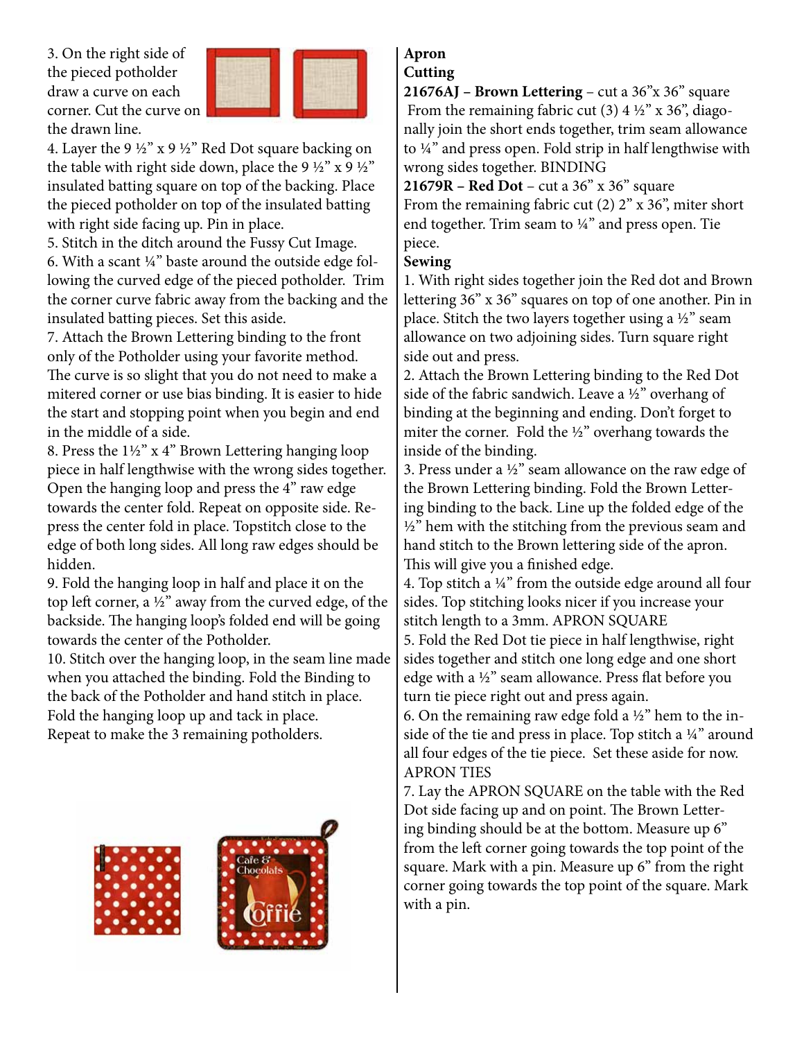3. On the right side of the pieced potholder draw a curve on each corner. Cut the curve on the drawn line.



4. Layer the 9 ½" x 9 ½" Red Dot square backing on the table with right side down, place the 9  $\frac{1}{2}$ " x 9  $\frac{1}{2}$ " insulated batting square on top of the backing. Place the pieced potholder on top of the insulated batting with right side facing up. Pin in place.

5. Stitch in the ditch around the Fussy Cut Image.

6. With a scant ¼" baste around the outside edge following the curved edge of the pieced potholder. Trim the corner curve fabric away from the backing and the insulated batting pieces. Set this aside.

7. Attach the Brown Lettering binding to the front only of the Potholder using your favorite method. The curve is so slight that you do not need to make a mitered corner or use bias binding. It is easier to hide the start and stopping point when you begin and end in the middle of a side.

8. Press the 1½" x 4" Brown Lettering hanging loop piece in half lengthwise with the wrong sides together. Open the hanging loop and press the 4" raw edge towards the center fold. Repeat on opposite side. Repress the center fold in place. Topstitch close to the edge of both long sides. All long raw edges should be hidden.

9. Fold the hanging loop in half and place it on the top left corner, a ½" away from the curved edge, of the backside. The hanging loop's folded end will be going towards the center of the Potholder.

10. Stitch over the hanging loop, in the seam line made when you attached the binding. Fold the Binding to the back of the Potholder and hand stitch in place. Fold the hanging loop up and tack in place. Repeat to make the 3 remaining potholders.



#### **Apron Cutting**

**21676AJ – Brown Lettering** – cut a 36"x 36" square From the remaining fabric cut (3)  $4\frac{1}{2}$ " x 36", diagonally join the short ends together, trim seam allowance to ¼" and press open. Fold strip in half lengthwise with wrong sides together. BINDING

**21679R – Red Dot** – cut a 36" x 36" square From the remaining fabric cut  $(2)$   $2"$  x  $36"$ , miter short end together. Trim seam to ¼" and press open. Tie piece.

#### **Sewing**

1. With right sides together join the Red dot and Brown lettering 36" x 36" squares on top of one another. Pin in place. Stitch the two layers together using a ½" seam allowance on two adjoining sides. Turn square right side out and press.

2. Attach the Brown Lettering binding to the Red Dot side of the fabric sandwich. Leave a ½" overhang of binding at the beginning and ending. Don't forget to miter the corner. Fold the ½" overhang towards the inside of the binding.

3. Press under a ½" seam allowance on the raw edge of the Brown Lettering binding. Fold the Brown Lettering binding to the back. Line up the folded edge of the  $1/2$ " hem with the stitching from the previous seam and hand stitch to the Brown lettering side of the apron. This will give you a finished edge.

4. Top stitch a ¼" from the outside edge around all four sides. Top stitching looks nicer if you increase your stitch length to a 3mm. APRON SQUARE

5. Fold the Red Dot tie piece in half lengthwise, right sides together and stitch one long edge and one short edge with a ½" seam allowance. Press flat before you turn tie piece right out and press again.

6. On the remaining raw edge fold a  $\frac{1}{2}$ " hem to the inside of the tie and press in place. Top stitch a ¼" around all four edges of the tie piece. Set these aside for now. APRON TIES

7. Lay the APRON SQUARE on the table with the Red Dot side facing up and on point. The Brown Lettering binding should be at the bottom. Measure up 6" from the left corner going towards the top point of the square. Mark with a pin. Measure up 6" from the right corner going towards the top point of the square. Mark with a pin.